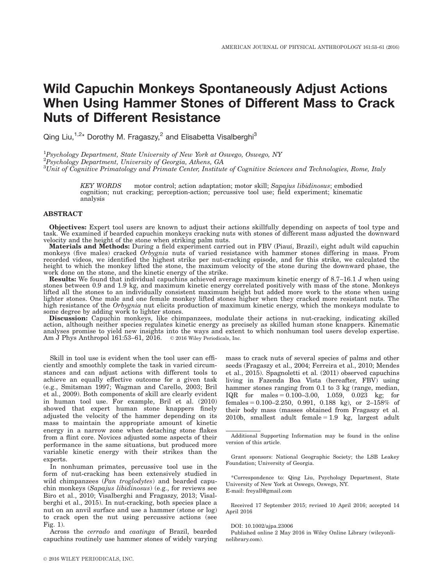# Wild Capuchin Monkeys Spontaneously Adjust Actions When Using Hammer Stones of Different Mass to Crack Nuts of Different Resistance

Qing Liu,<sup>1,2\*</sup> Dorothy M. Fragaszy,<sup>2</sup> and Elisabetta Visalberghi<sup>3</sup>

<sup>1</sup>Psychology Department, State University of New York at Oswego, Oswego, NY <sup>2</sup>Psychology Department, University of Georgia, Athens, GA  ${}^{3}$ Unit of Cognitive Primatology and Primate Center, Institute of Cognitive Sciences and Technologies, Rome, Italy

> KEY WORDS motor control; action adaptation; motor skill; Sapajus libidinosus; embodied cognition; nut cracking; perception-action; percussive tool use; field experiment; kinematic analysis

## ABSTRACT

Objectives: Expert tool users are known to adjust their actions skillfully depending on aspects of tool type and task. We examined if bearded capuchin monkeys cracking nuts with stones of different mass adjusted the downward velocity and the height of the stone when striking palm nuts.

Materials and Methods: During a field experiment carried out in FBV (Piauí, Brazil), eight adult wild capuchin monkeys (five males) cracked *Orbygnia* nuts of varied resistance with hammer stones differing in mass. From recorded videos, we identified the highest strike per nut-cracking episode, and for this strike, we calculated the height to which the monkey lifted the stone, the maximum velocity of the stone during the downward phase, the work done on the stone, and the kinetic energy of the strike.

Results: We found that individual capuchins achieved average maximum kinetic energy of 8.7–16.1 J when using stones between 0.9 and 1.9 kg, and maximum kinetic energy correlated positively with mass of the stone. Monkeys lifted all the stones to an individually consistent maximum height but added more work to the stone when using lighter stones. One male and one female monkey lifted stones higher when they cracked more resistant nuts. The high resistance of the Orbygnia nut elicits production of maximum kinetic energy, which the monkeys modulate to some degree by adding work to lighter stones.

Discussion: Capuchin monkeys, like chimpanzees, modulate their actions in nut-cracking, indicating skilled action, although neither species regulates kinetic energy as precisely as skilled human stone knappers. Kinematic analyses promise to yield new insights into the ways and extent to which nonhuman tool users develop expertise. Am J Phys Anthropol  $161:53-61$ ,  $2016$ .  $\circ$  2016 Wiley Periodicals, Inc.

Skill in tool use is evident when the tool user can efficiently and smoothly complete the task in varied circumstances and can adjust actions with different tools to achieve an equally effective outcome for a given task (e.g., Smitsman 1997; Wagman and Carello, 2003; Bril et al., 2009). Both components of skill are clearly evident in human tool use. For example, Bril et al. (2010) showed that expert human stone knappers finely adjusted the velocity of the hammer depending on its mass to maintain the appropriate amount of kinetic energy in a narrow zone when detaching stone flakes from a flint core. Novices adjusted some aspects of their performance in the same situations, but produced more variable kinetic energy with their strikes than the experts.

In nonhuman primates, percussive tool use in the form of nut-cracking has been extensively studied in wild chimpanzees (Pan troglodytes) and bearded capuchin monkeys (Sapajus libidinosus) (e.g., for reviews see Biro et al., 2010; Visalberghi and Fragaszy, 2013; Visalberghi et al., 2015). In nut-cracking, both species place a nut on an anvil surface and use a hammer (stone or log) to crack open the nut using percussive actions (see Fig. 1).

Across the cerrado and caatinga of Brazil, bearded capuchins routinely use hammer stones of widely varying mass to crack nuts of several species of palms and other seeds (Fragaszy et al., 2004; Ferreira et al., 2010; Mendes et al., 2015). Spagnoletti et al. (2011) observed capuchins living in Fazenda Boa Vista (hereafter, FBV) using hammer stones ranging from 0.1 to 3 kg (range, median, IQR for males =  $0.100-3.00$ , 1.059, 0.023 kg; for females =  $0.100-2.250$ , 0.991, 0.188 kg), or 2-158% of their body mass (masses obtained from Fragaszy et al. 2010b, smallest adult female  $= 1.9$  kg, largest adult

Grant sponsors: National Geographic Society; the LSB Leakey Foundation; University of Georgia.

\*Correspondence to: Qing Liu, Psychology Department, State University of New York at Oswego, Oswego, NY. E-mail: freyall@gmail.com

Received 17 September 2015; revised 10 April 2016; accepted 14 April 2016

DOI: 10.1002/ajpa.23006

Published online 2 May 2016 in Wiley Online Library (wileyonlinelibrary.com).

Additional Supporting Information may be found in the online version of this article.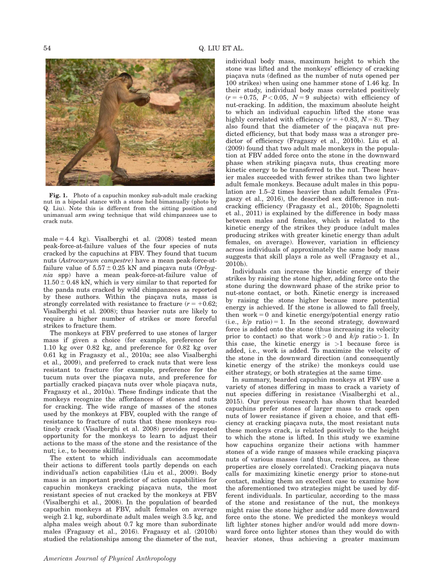

Fig. 1. Photo of a capuchin monkey sub-adult male cracking nut in a bipedal stance with a stone held bimanually (photo by Q. Liu). Note this is different from the sitting position and unimanual arm swing technique that wild chimpanzees use to crack nuts.

male  $= 4.4$  kg). Visalberghi et al. (2008) tested mean peak-force-at-failure values of the four species of nuts cracked by the capuchins at FBV. They found that tucum nuts (Astrocaryum campestre) have a mean peak-force-atfailure value of  $5.57 \pm 0.25$  kN and piacava nuts (*Orbyg*nia spp) have a mean peak-force-at-failure value of  $11.50 \pm 0.48$  kN, which is very similar to that reported for the panda nuts cracked by wild chimpanzees as reported by these authors. Within the piacava nuts, mass is strongly correlated with resistance to fracture  $(r = +0.62;$ Visalberghi et al. 2008); thus heavier nuts are likely to require a higher number of strikes or more forceful strikes to fracture them.

The monkeys at FBV preferred to use stones of larger mass if given a choice (for example, preference for 1.10 kg over 0.82 kg, and preference for 0.82 kg over 0.61 kg in Fragaszy et al., 2010a; see also Visalberghi et al., 2009), and preferred to crack nuts that were less resistant to fracture (for example, preference for the tucum nuts over the piacava nuts, and preference for partially cracked piacava nuts over whole piacava nuts, Fragaszy et al., 2010a). These findings indicate that the monkeys recognize the affordances of stones and nuts for cracking. The wide range of masses of the stones used by the monkeys at FBV, coupled with the range of resistance to fracture of nuts that these monkeys routinely crack (Visalberghi et al. 2008) provides repeated opportunity for the monkeys to learn to adjust their actions to the mass of the stone and the resistance of the nut; i.e., to become skillful.

The extent to which individuals can accommodate their actions to different tools partly depends on each individual's action capabilities (Liu et al., 2009). Body mass is an important predictor of action capabilities for capuchin monkeys cracking piaçava nuts, the most resistant species of nut cracked by the monkeys at FBV (Visalberghi et al., 2008). In the population of bearded capuchin monkeys at FBV, adult females on average weigh 2.1 kg, subordinate adult males weigh 3.5 kg, and alpha males weigh about 0.7 kg more than subordinate males (Fragaszy et al., 2016). Fragaszy et al. (2010b) studied the relationships among the diameter of the nut,

individual body mass, maximum height to which the stone was lifted and the monkeys' efficiency of cracking piacava nuts (defined as the number of nuts opened per 100 strikes) when using one hammer stone of 1.46 kg. In their study, individual body mass correlated positively  $(r = +0.75, P < 0.05, N = 9$  subjects) with efficiency of nut-cracking. In addition, the maximum absolute height to which an individual capuchin lifted the stone was highly correlated with efficiency  $(r = +0.83, N = 8)$ . They also found that the diameter of the piacava nut predicted efficiency, but that body mass was a stronger predictor of efficiency (Fragaszy et al., 2010b). Liu et al. (2009) found that two adult male monkeys in the population at FBV added force onto the stone in the downward phase when striking piaçava nuts, thus creating more kinetic energy to be transferred to the nut. These heavier males succeeded with fewer strikes than two lighter adult female monkeys. Because adult males in this population are 1.5–2 times heavier than adult females (Fragaszy et al., 2016), the described sex difference in nutcracking efficiency (Fragaszy et al., 2010b; Spagnoletti et al., 2011) is explained by the difference in body mass between males and females, which is related to the kinetic energy of the strikes they produce (adult males producing strikes with greater kinetic energy than adult females, on average). However, variation in efficiency across individuals of approximately the same body mass suggests that skill plays a role as well (Fragaszy et al., 2010b).

Individuals can increase the kinetic energy of their strikes by raising the stone higher, adding force onto the stone during the downward phase of the strike prior to nut-stone contact, or both. Kinetic energy is increased by raising the stone higher because more potential energy is achieved. If the stone is allowed to fall freely, then work  $= 0$  and kinetic energy/potential energy ratio (i.e.,  $k/p$  ratio) = 1. In the second strategy, downward force is added onto the stone (thus increasing its velocity prior to contact) so that work > 0 and  $k/p$  ratio > 1. In this case, the kinetic energy is  $>1$  because force is added, i.e., work is added. To maximize the velocity of the stone in the downward direction (and consequently kinetic energy of the strike) the monkeys could use either strategy, or both strategies at the same time.

In summary, bearded capuchin monkeys at FBV use a variety of stones differing in mass to crack a variety of nut species differing in resistance (Visalberghi et al., 2015). Our previous research has shown that bearded capuchins prefer stones of larger mass to crack open nuts of lower resistance if given a choice, and that efficiency at cracking piaçava nuts, the most resistant nuts these monkeys crack, is related positively to the height to which the stone is lifted. In this study we examine how capuchins organize their actions with hammer stones of a wide range of masses while cracking piacava nuts of various masses (and thus, resistances, as these properties are closely correlated). Cracking piacava nuts calls for maximizing kinetic energy prior to stone-nut contact, making them an excellent case to examine how the aforementioned two strategies might be used by different individuals. In particular, according to the mass of the stone and resistance of the nut, the monkeys might raise the stone higher and/or add more downward force onto the stone. We predicted the monkeys would lift lighter stones higher and/or would add more downward force onto lighter stones than they would do with heavier stones, thus achieving a greater maximum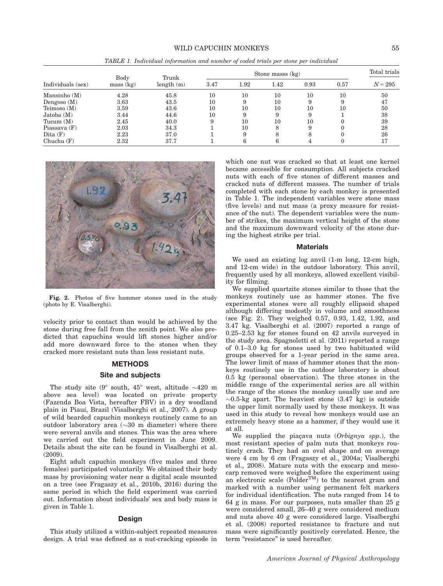## WILD CAPUCHIN MONKEYS 55

|                   | Body      | Trunk     |      |        | Stone masss (kg) |      |      | Total trials |
|-------------------|-----------|-----------|------|--------|------------------|------|------|--------------|
| Individuals (sex) | mass (kg) | length(m) | 3.47 | 1.92   | 1.42             | 0.93 | 0.57 | $N = 295$    |
| Mansinho $(M)$    | 4.28      | 45.8      | 10   | 10     | 10               | 10   | 10   | 50           |
| Dengoso $(M)$     | 3.63      | 43.5      | 10   | 9      | 10               | 9    | 9    | 47           |
| Teimoso $(M)$     | 3.59      | 43.6      | 10   | $10\,$ | 10               | 10   | 10   | 50           |
| Jatoba(M)         | 3.44      | 44.6      | 10   | 9      | 9                | 9    |      | 38           |
| Tucum $(M)$       | 2.45      | 40.0      | 9    | 10     | 10               | 10   |      | 39           |
| Piassava $(F)$    | 2.03      | 34.3      |      | 10     |                  | 9    |      | 28           |
| Dita $(F)$        | 2.23      | 37.0      |      | 9      | 8                | 8    |      | 26           |
| Chuchu $(F)$      | 2.32      | 37.7      |      | 6      |                  |      |      | 17           |

TABLE 1. Individual information and number of coded trials per stone per individual



Fig. 2. Photos of five hammer stones used in the study (photo by E. Visalberghi).

velocity prior to contact than would be achieved by the stone during free fall from the zenith point. We also predicted that capuchins would lift stones higher and/or add more downward force to the stones when they cracked more resistant nuts than less resistant nuts.

#### METHODS

# Site and subjects

The study site  $(9^{\circ}$  south,  $45^{\circ}$  west, altitude  $\sim 420$  m above sea level) was located on private property (Fazenda Boa Vista, hereafter FBV) in a dry woodland plain in Piauí, Brazil (Visalberghi et al., 2007). A group of wild bearded capuchin monkeys routinely came to an outdoor laboratory area  $(\sim]30$  m diameter) where there were several anvils and stones. This was the area where we carried out the field experiment in June 2009. Details about the site can be found in Visalberghi et al. (2009).

Eight adult capuchin monkeys (five males and three females) participated voluntarily. We obtained their body mass by provisioning water near a digital scale mounted on a tree (see Fragaszy et al., 2010b, 2016) during the same period in which the field experiment was carried out. Information about individuals' sex and body mass is given in Table 1.

#### Design

This study utilized a within-subject repeated measures design. A trial was defined as a nut-cracking episode in

which one nut was cracked so that at least one kernel became accessible for consumption. All subjects cracked nuts with each of five stones of different masses and cracked nuts of different masses. The number of trials completed with each stone by each monkey is presented in Table 1. The independent variables were stone mass (five levels) and nut mass (a proxy measure for resistance of the nut). The dependent variables were the number of strikes, the maximum vertical height of the stone and the maximum downward velocity of the stone during the highest strike per trial.

#### **Materials**

We used an existing log anvil (1-m long, 12-cm high, and 12-cm wide) in the outdoor laboratory. This anvil, frequently used by all monkeys, allowed excellent visibility for filming.

We supplied quartzite stones similar to those that the monkeys routinely use as hammer stones. The five experimental stones were all roughly ellipsoid shaped although differing modestly in volume and smoothness (see Fig. 2). They weighed 0.57, 0.93, 1.42, 1.92, and 3.47 kg. Visalberghi et al. (2007) reported a range of 0.25–2.53 kg for stones found on 42 anvils surveyed in the study area. Spagnoletti et al. (2011) reported a range of 0.1–3.0 kg for stones used by two habituated wild groups observed for a 1-year period in the same area. The lower limit of mass of hammer stones that the monkeys routinely use in the outdoor laboratory is about 0.5 kg (personal observation). The three stones in the middle range of the experimental series are all within the range of the stones the monkey usually use and are  $\sim 0.5$ -kg apart. The heaviest stone (3.47 kg) is outside the upper limit normally used by these monkeys. It was used in this study to reveal how monkeys would use an extremely heavy stone as a hammer, if they would use it at all.

We supplied the piaçava nuts (Orbignya spp.), the most resistant species of palm nuts that monkeys routinely crack. They had an oval shape and on average were 4 cm by 6 cm (Fragaszy et al., 2004a; Visalberghi et al., 2008). Mature nuts with the exocarp and mesocarp removed were weighed before the experiment using an electronic scale  $(Polder^{TM})$  to the nearest gram and marked with a number using permanent felt markers for individual identification. The nuts ranged from 14 to 64 g in mass. For our purposes, nuts smaller than 25 g were considered small, 26–40 g were considered medium and nuts above 40 g were considered large. Visalberghi et al. (2008) reported resistance to fracture and nut mass were significantly positively correlated. Hence, the term "resistance" is used hereafter.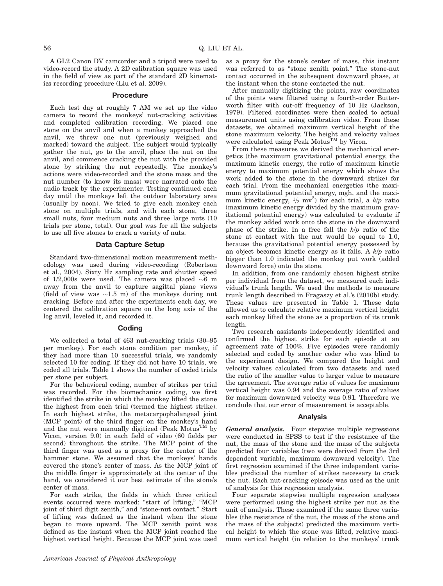A GL2 Canon DV camcorder and a tripod were used to video-record the study. A 2D calibration square was used in the field of view as part of the standard 2D kinematics recording procedure (Liu et al. 2009).

#### Procedure

Each test day at roughly 7 AM we set up the video camera to record the monkeys' nut-cracking activities and completed calibration recording. We placed one stone on the anvil and when a monkey approached the anvil, we threw one nut (previously weighed and marked) toward the subject. The subject would typically gather the nut, go to the anvil, place the nut on the anvil, and commence cracking the nut with the provided stone by striking the nut repeatedly. The monkey's actions were video-recorded and the stone mass and the nut number (to know its mass) were narrated onto the audio track by the experimenter. Testing continued each day until the monkeys left the outdoor laboratory area (usually by noon). We tried to give each monkey each stone on multiple trials, and with each stone, three small nuts, four medium nuts and three large nuts (10 trials per stone, total). Our goal was for all the subjects to use all five stones to crack a variety of nuts.

#### Data Capture Setup

Standard two-dimensional motion measurement methodology was used during video-recoding (Robertson et al., 2004). Sixty Hz sampling rate and shutter speed of 1/2,000s were used. The camera was placed  ${\sim}6$  m away from the anvil to capture sagittal plane views (field of view was  $\sim\!\!1.5$  m) of the monkeys during nut cracking. Before and after the experiments each day, we centered the calibration square on the long axis of the log anvil, leveled it, and recorded it.

#### Coding

We collected a total of 463 nut-cracking trials (30–95 per monkey). For each stone condition per monkey, if they had more than 10 successful trials, we randomly selected 10 for coding. If they did not have 10 trials, we coded all trials. Table 1 shows the number of coded trials per stone per subject.

For the behavioral coding, number of strikes per trial was recorded. For the biomechanics coding, we first identified the strike in which the monkey lifted the stone the highest from each trial (termed the highest strike). In each highest strike, the metacarpophalangeal joint (MCP point) of the third finger on the monkey's hand and the nut were manually digitized (Peak Motus<sup>TM</sup> by Vicon, version 9.0) in each field of video (60 fields per second) throughout the strike. The MCP point of the third finger was used as a proxy for the center of the hammer stone. We assumed that the monkeys' hands covered the stone's center of mass. As the MCP joint of the middle finger is approximately at the center of the hand, we considered it our best estimate of the stone's center of mass.

For each strike, the fields in which three critical events occurred were marked: "start of lifting," "MCP joint of third digit zenith," and "stone-nut contact." Start of lifting was defined as the instant when the stone began to move upward. The MCP zenith point was defined as the instant when the MCP joint reached the highest vertical height. Because the MCP joint was used

as a proxy for the stone's center of mass, this instant was referred to as "stone zenith point." The stone-nut contact occurred in the subsequent downward phase, at the instant when the stone contacted the nut.

After manually digitizing the points, raw coordinates of the points were filtered using a fourth-order Butterworth filter with cut-off frequency of 10 Hz (Jackson, 1979). Filtered coordinates were then scaled to actual measurement units using calibration video. From these datasets, we obtained maximum vertical height of the stone maximum velocity. The height and velocity values were calculated using Peak Motus<sup>TM</sup> by Vicon.

From these measures we derived the mechanical energetics (the maximum gravitational potential energy, the maximum kinetic energy, the ratio of maximum kinetic energy to maximum potential energy which shows the work added to the stone in the downward strike) for each trial. From the mechanical energetics (the maximum gravitational potential energy, mgh, and the maximum kinetic energy,  $\frac{1}{2}$  mv<sup>2</sup>) for each trial, a k/p ratio (maximum kinetic energy divided by the maximum gravitational potential energy) was calculated to evaluate if the monkey added work onto the stone in the downward phase of the strike. In a free fall the  $k/p$  ratio of the stone at contact with the nut would be equal to 1.0, because the gravitational potential energy possessed by an object becomes kinetic energy as it falls. A  $k/p$  ratio bigger than 1.0 indicated the monkey put work (added downward force) onto the stone.

In addition, from one randomly chosen highest strike per individual from the dataset, we measured each individual's trunk length. We used the methods to measure trunk length described in Fragaszy et al.'s (2010b) study. These values are presented in Table 1. These data allowed us to calculate relative maximum vertical height each monkey lifted the stone as a proportion of its trunk length.

Two research assistants independently identified and confirmed the highest strike for each episode at an agreement rate of 100%. Five episodes were randomly selected and coded by another coder who was blind to the experiment design. We compared the height and velocity values calculated from two datasets and used the ratio of the smaller value to larger value to measure the agreement. The average ratio of values for maximum vertical height was 0.94 and the average ratio of values for maximum downward velocity was 0.91. Therefore we conclude that our error of measurement is acceptable.

#### Analysis

General analysis. Four stepwise multiple regressions were conducted in SPSS to test if the resistance of the nut, the mass of the stone and the mass of the subjects predicted four variables (two were derived from the 3rd dependent variable, maximum downward velocity). The first regression examined if the three independent variables predicted the number of strikes necessary to crack the nut. Each nut-cracking episode was used as the unit of analysis for this regression analysis.

Four separate stepwise multiple regression analyses were performed using the highest strike per nut as the unit of analysis. These examined if the same three variables (the resistance of the nut, the mass of the stone and the mass of the subjects) predicted the maximum vertical height to which the stone was lifted, relative maximum vertical height (in relation to the monkeys' trunk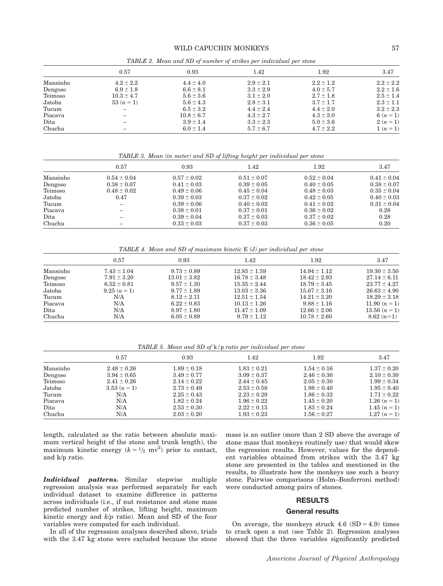# WILD CAPUCHIN MONKEYS 57

|          |                | <b>Tradition 2.</b> Include that $\omega$ of number of on the per-theoremum per other |               |               |               |
|----------|----------------|---------------------------------------------------------------------------------------|---------------|---------------|---------------|
|          | 0.57           | 0.93                                                                                  | 1.42          | 1.92          | 3.47          |
| Mansinho | $4.2 \pm 2.2$  | $4.4 \pm 4.0$                                                                         | $2.9 \pm 2.1$ | $2.2 \pm 1.2$ | $2.2 \pm 2.2$ |
| Dengoso  | $6.9 \pm 1.8$  | $6.6 \pm 8.1$                                                                         | $3.3 \pm 2.9$ | $4.0 \pm 5.7$ | $2.2 \pm 1.6$ |
| Teimoso  | $10.3 \pm 4.7$ | $5.6 \pm 3.6$                                                                         | $3.1 \pm 2.0$ | $2.7 \pm 1.8$ | $2.5 \pm 1.4$ |
| Jatoba   | $53(n=1)$      | $5.6 \pm 4.3$                                                                         | $2.8 \pm 3.1$ | $3.7 \pm 1.7$ | $2.3 \pm 1.1$ |
| Tucum    |                | $6.5 \pm 3.2$                                                                         | $4.4 \pm 2.4$ | $4.4 \pm 2.0$ | $3.2 \pm 2.3$ |
| Piacava  | -              | $10.8 \pm 6.7$                                                                        | $4.3 \pm 2.7$ | $4.3 \pm 3.0$ | 6 $(n = 1)$   |
| Dita     | -              | $3.9 \pm 1.4$                                                                         | $3.3 \pm 2.3$ | $5.0 \pm 3.6$ | $2(n=1)$      |
| Chuchu   |                | $6.0 \pm 1.4$                                                                         | $5.7 \pm 6.7$ | $4.7 \pm 2.2$ | $1(n=1)$      |

TABLE 2. Mean and SD of number of strikes per individual per stone

TABLE 3. Mean (in meter) and SD of lifting height per individual per stone

|          | 0.57            | 0.93            | 1.42            | 1.92            | 3.47            |
|----------|-----------------|-----------------|-----------------|-----------------|-----------------|
| Mansinho | $0.54 \pm 0.04$ | $0.57 \pm 0.02$ | $0.51 \pm 0.07$ | $0.52 \pm 0.04$ | $0.41 \pm 0.04$ |
| Dengoso  | $0.38 \pm 0.07$ | $0.41 \pm 0.03$ | $0.39 \pm 0.05$ | $0.40 \pm 0.05$ | $0.38 \pm 0.07$ |
| Teimoso  | $0.48 \pm 0.02$ | $0.49 \pm 0.06$ | $0.45 \pm 0.04$ | $0.48 \pm 0.03$ | $0.35 \pm 0.04$ |
| Jatoba   | 0.47            | $0.39 \pm 0.03$ | $0.37 \pm 0.02$ | $0.42 \pm 0.05$ | $0.40 \pm 0.03$ |
| Tucum    | -               | $0.39 \pm 0.06$ | $0.40 \pm 0.02$ | $0.41 \pm 0.02$ | $0.31 \pm 0.04$ |
| Piacava  | -               | $0.38 \pm 0.01$ | $0.37 \pm 0.01$ | $0.36 \pm 0.02$ | 0.28            |
| Dita     | -               | $0.39 \pm 0.04$ | $0.37 \pm 0.03$ | $0.37 \pm 0.02$ | 0.28            |
| Chuchu   | -               | $0.33 \pm 0.03$ | $0.37 \pm 0.03$ | $0.36 \pm 0.05$ | 0.20            |

TABLE 4. Mean and SD of maximum kinetic  $E(J)$  per individual per stone

|          | 0.57            | 0.93             | 1.42             | 1.92             | 3.47             |
|----------|-----------------|------------------|------------------|------------------|------------------|
| Mansinho | $7.43 \pm 1.04$ | $9.73 \pm 0.89$  | $12.85 \pm 1.59$ | $14.94 \pm 1.12$ | $19.30 \pm 3.50$ |
| Dengoso  | $7.91 \pm 3.20$ | $13.01 \pm 3.82$ | $16.78 \pm 3.48$ | $18.42 \pm 2.93$ | $27.14 \pm 6.11$ |
| Teimoso  | $6.52 \pm 0.81$ | $9.57 \pm 1.30$  | $15.35 \pm 2.44$ | $18.79 \pm 3.45$ | $23.77 \pm 4.27$ |
| Jatoba   | $9.25(n=1)$     | $9.77 \pm 1.89$  | $13.03 \pm 3.36$ | $15.67 \pm 3.16$ | $26.63 \pm 4.90$ |
| Tucum    | N/A             | $8.12 \pm 2.11$  | $12.51 \pm 1.54$ | $14.21 \pm 3.20$ | $18.29 \pm 3.18$ |
| Piacava  | N/A             | $6.22 \pm 0.83$  | $10.13 \pm 1.26$ | $9.88 \pm 1.16$  | 11.90 $(n = 1)$  |
| Dita     | N/A             | $8.97 \pm 1.80$  | $11.47 \pm 1.09$ | $12.66 \pm 2.06$ | $13.56 (n=1)$    |
| Chuchu   | N/A             | $6.05 \pm 0.89$  | $9.79 \pm 1.12$  | $10.78 \pm 2.60$ | $8.62(n=1)$      |

TABLE 5. Mean and SD of k/p ratio per individual per stone

|          | 0.57            | 0.93            | 1.42            | 1.92            | 3.47            |
|----------|-----------------|-----------------|-----------------|-----------------|-----------------|
| Mansinho | $2.48 \pm 0.26$ | $1.89 \pm 0.18$ | $1.83 \pm 0.21$ | $1.54 \pm 0.16$ | $1.37 \pm 0.20$ |
| Dengoso  | $3.94 \pm 0.65$ | $3.49 \pm 0.77$ | $3.09 \pm 0.37$ | $2.46 \pm 0.30$ | $2.10 \pm 0.30$ |
| Teimoso  | $2.41 \pm 0.26$ | $2.14 \pm 0.22$ | $2.44 \pm 0.45$ | $2.05 \pm 0.30$ | $1.99 \pm 0.34$ |
| Jatoba   | 3.53 $(n=1)$    | $2.73 \pm 0.49$ | $2.53 \pm 0.58$ | $1.98 \pm 0.40$ | $1.95 \pm 0.40$ |
| Tucum    | N/A             | $2.25 \pm 0.43$ | $2.23 \pm 0.29$ | $1.86 \pm 0.32$ | $1.71 \pm 0.22$ |
| Piacava  | N/A             | $1.82 \pm 0.24$ | $1.96 \pm 0.22$ | $1.45 \pm 0.20$ | $1.26(n=1)$     |
| Dita     | N/A             | $2.53 \pm 0.30$ | $2.22 \pm 0.13$ | $1.83 \pm 0.24$ | $1.45(n=1)$     |
| Chuchu   | N/A             | $2.03 \pm 0.20$ | $1.93 \pm 0.23$ | $1.56 \pm 0.27$ | $1.27(n=1)$     |

length, calculated as the ratio between absolute maximum vertical height of the stone and trunk length), the maximum kinetic energy  $(k = 1/2 \text{ mV}^2)$  prior to contact, and k/p ratio.

Individual patterns. Similar stepwise multiple regression analysis was performed separately for each individual dataset to examine difference in patterns across individuals (i.e., if nut resistance and stone mass predicted number of strikes, lifting height, maximum kinetic energy and  $k/p$  ratio). Mean and SD of the four variables were computed for each individual.

In all of the regression analyses described above, trials with the 3.47 kg stone were excluded because the stone mass is an outlier (more than 2 SD above the average of stone mass that monkeys routinely use) that would skew the regression results. However, values for the dependent variables obtained from strikes with the 3.47 kg stone are presented in the tables and mentioned in the results, to illustrate how the monkeys use such a heavy stone. Pairwise comparisons (Holm–Bonferroni method) were conducted among pairs of stones.

#### RESULTS

## General results

On average, the monkeys struck  $4.6$  (SD =  $4.9$ ) times to crack open a nut (see Table 2). Regression analyses showed that the three variables significantly predicted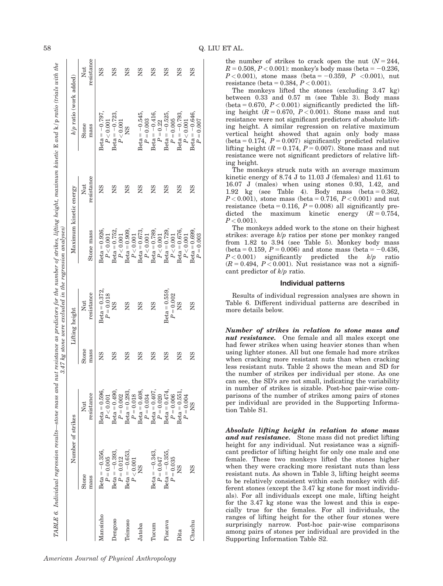|   | I |  |
|---|---|--|
| I |   |  |
| I |   |  |

|                |                                  |                                                    |               | 3.47 kg stone were excluded in the regression analyses) |                                     |                   | $\it{TABLE~6.~Individual~regression~results {–stone~mass~and~nut~resistance~as~predictors~for~the~number~of~strikes,~lifting~height,~maximum~kinetic~E~and~k/p~radius~with~the~new~s~m/s}$ |                   |
|----------------|----------------------------------|----------------------------------------------------|---------------|---------------------------------------------------------|-------------------------------------|-------------------|--------------------------------------------------------------------------------------------------------------------------------------------------------------------------------------------|-------------------|
|                | Number of strikes                |                                                    |               | Lifting height                                          | Maximum kinetic energy              |                   | k/p ratio (work added)                                                                                                                                                                     |                   |
|                | Stone<br>mass                    | resistance<br>Nut                                  | Stone<br>mass | resistance<br>Nut                                       | Stone mass                          | resistance<br>Nut | Stone<br>mass                                                                                                                                                                              | resistance<br>Nut |
| Mansinho       | $Beta = -0.356$ ,<br>$P = 0.005$ | $Beta = 0.596$ ,<br>P < 0.001                      | <b>NS</b>     | $Beta = 0.372$ .                                        | $Beta = 0.926$ .<br>P < 0.001       | <b>NS</b>         | Beta = $-0.797$ ,<br>P < 0.001                                                                                                                                                             | <b>NS</b>         |
| <b>Jengoso</b> | $Beta = -0.393$ ,<br>$P = 0.012$ | $Beta = 0.490$<br>$P = 0.002$                      | SN            | $P = 0.018$<br>NS                                       | $Beta = 0.752,$<br>P < 0.001        | ŠN                | $Beta = -0.723$ ,<br>P < 0.001                                                                                                                                                             | ŠN                |
| Teimoso        | $Beta = -0.653$ ,<br>P < 0.001   | $Beta = 0.293$<br>$P = 0.018$                      | SN            | SN                                                      | $Beta = 0.909,$<br>P < 0.001        | SN                | ŠK                                                                                                                                                                                         | SN                |
| Jatoba         | S<br>N                           | $Beta = 0.408,$<br>$P = 0.034$                     | SN            | SN                                                      | $Beta = 0.673,$<br>P < 0.001        | SN                | $Beta = -0.545,$<br>$P = 0.003$                                                                                                                                                            | SN                |
| Tucum          | Beta = $-0.343$ ,<br>$P = 0.047$ | $\label{eq:3.1} \text{Beta}=0.407,$<br>$P = 0.020$ | SN            | 8N                                                      | $Beta = 0.789$<br>P < 0.001         | gN                | $Beta = -0.416$ ,<br>$P = 0.22$                                                                                                                                                            | gN                |
| Piacava        | $Beta = -0.355$<br>$P = 0.035$   | $Beta = 0.474$ .<br>$P = 0.006$                    | SN            | $Beta = 0.559$ ,<br>$P = 0.002$                         | Beta = $0.729$ ,<br>P < 0.001       | gN                | $Beta = -0.525$ ,<br>$P = 0.005$                                                                                                                                                           | gN                |
| Dita           |                                  | $Beta = 0.551,$<br>$P=0.004$                       | SN            | 8K                                                      | $Beta = 0.676$ ,<br>$P\,{<}\,0.001$ | SN                | Beta = $-0.793$ ,<br>P < 0.001                                                                                                                                                             | SN                |
| Chuchu         | 8N                               | 8N                                                 | SN            | SN                                                      | $Beta = 0.699$ ,<br>$P = 0.003$     | SN                | $Beta = -0.646,$<br>$P = 0.007$                                                                                                                                                            | SN                |

the number of strikes to crack open the nut  $(N = 244,$  $R = 0.508, P < 0.001$ : monkey's body mass (beta = -0.236,  $P < 0.001$ ), stone mass (beta = -0.359, P <0.001), nut resistance (beta =  $0.384, P < 0.001$ ).

The monkeys lifted the stones (excluding 3.47 kg) between 0.33 and 0.57 m (see Table 3). Body mass (beta = 0.670,  $P < 0.001$ ) significantly predicted the lifting height  $(R = 0.670, P < 0.001)$ . Stone mass and nut resistance were not significant predictors of absolute lifting height. A similar regression on relative maximum vertical height showed that again only body mass (beta =  $0.174$ ,  $P = 0.007$ ) significantly predicted relative lifting height ( $R = 0.174$ ,  $P = 0.007$ ). Stone mass and nut resistance were not significant predictors of relative lifting height.

The monkeys struck nuts with an average maximum kinetic energy of 8.74 J to 11.03 J (females) and 11.61 to 16.07 J (males) when using stones 0.93, 1.42, and 1.92 kg (see Table 4). Body mass  $(beta = 0.362,$  $P < 0.001$ ), stone mass (beta = 0.716,  $P < 0.001$ ) and nut resistance (beta = 0.116,  $P = 0.008$ ) all significantly predicted the maximum kinetic energy  $(R = 0.754,$  $P < 0.001$ ).

The monkeys added work to the stone on their highest strikes: average k/p ratios per stone per monkey ranged from 1.82 to 3.94 (see Table 5). Monkey body mass (beta = 0.159,  $P = 0.006$ ) and stone mass (beta = -0.436,  $P < 0.001$ ) significantly predicted the  $k/p$  ratio  $(R = 0.494, P < 0.001)$ . Nut resistance was not a significant predictor of k/p ratio.

# Individual patterns

Results of individual regression analyses are shown in Table 6. Different individual patterns are described in more details below.

Number of strikes in relation to stone mass and nut resistance. One female and all males except one had fewer strikes when using heavier stones than when using lighter stones. All but one female had more strikes when cracking more resistant nuts than when cracking less resistant nuts. Table 2 shows the mean and SD for the number of strikes per individual per stone. As one can see, the SD's are not small, indicating the variability in number of strikes is sizable. Post-hoc pair-wise comparisons of the number of strikes among pairs of stones per individual are provided in the Supporting Information Table S1.

Absolute lifting height in relation to stone mass and nut resistance. Stone mass did not predict lifting height for any individual. Nut resistance was a significant predictor of lifting height for only one male and one female. These two monkeys lifted the stones higher when they were cracking more resistant nuts than less resistant nuts. As shown in Table 3, lifting height seems to be relatively consistent within each monkey with different stones (except the 3.47 kg stone for most individuals). For all individuals except one male, lifting height for the 3.47 kg stone was the lowest and this is especially true for the females. For all individuals, the ranges of lifting height for the other four stones were surprisingly narrow. Post-hoc pair-wise comparisons among pairs of stones per individual are provided in the Supporting Information Table S2.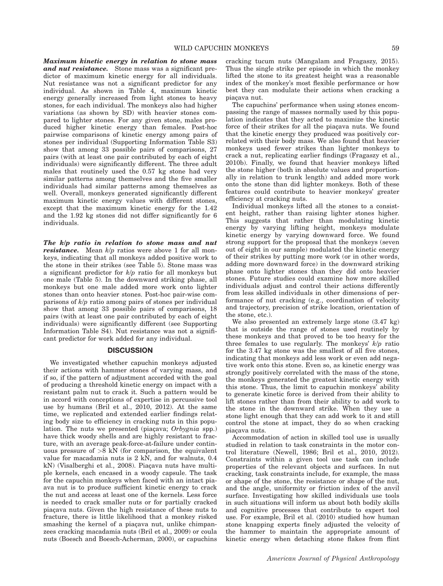Maximum kinetic energy in relation to stone mass and nut resistance. Stone mass was a significant predictor of maximum kinetic energy for all individuals. Nut resistance was not a significant predictor for any individual. As shown in Table 4, maximum kinetic energy generally increased from light stones to heavy stones, for each individual. The monkeys also had higher variations (as shown by SD) with heavier stones compared to lighter stones. For any given stone, males produced higher kinetic energy than females. Post-hoc pairwise comparisons of kinetic energy among pairs of stones per individual (Supporting Information Table S3) show that among 33 possible pairs of comparisons, 27 pairs (with at least one pair contributed by each of eight individuals) were significantly different. The three adult males that routinely used the 0.57 kg stone had very similar patterns among themselves and the five smaller individuals had similar patterns among themselves as well. Overall, monkeys generated significantly different maximum kinetic energy values with different stones, except that the maximum kinetic energy for the 1.42 and the 1.92 kg stones did not differ significantly for 6 individuals.

The k/p ratio in relation to stone mass and nut **resistance.** Mean  $k/p$  ratios were above 1 for all monkeys, indicating that all monkeys added positive work to the stone in their strikes (see Table 5). Stone mass was a significant predictor for  $k/p$  ratio for all monkeys but one male (Table 5). In the downward striking phase, all monkeys but one male added more work onto lighter stones than onto heavier stones. Post-hoc pair-wise comparisons of k/p ratio among pairs of stones per individual show that among 33 possible pairs of comparisons, 18 pairs (with at least one pair contributed by each of eight individuals) were significantly different (see Supporting Information Table S4). Nut resistance was not a significant predictor for work added for any individual.

# **DISCUSSION**

We investigated whether capuchin monkeys adjusted their actions with hammer stones of varying mass, and if so, if the pattern of adjustment accorded with the goal of producing a threshold kinetic energy on impact with a resistant palm nut to crack it. Such a pattern would be in accord with conceptions of expertise in percussive tool use by humans (Bril et al., 2010, 2012). At the same time, we replicated and extended earlier findings relating body size to efficiency in cracking nuts in this population. The nuts we presented (piaçava; Orbygnia spp.) have thick woody shells and are highly resistant to fracture, with an average peak-force-at-failure under continuous pressure of  $>8$  kN (for comparison, the equivalent value for macadamia nuts is 2 kN, and for walnuts, 0.4 kN) (Visalberghi et al., 2008). Piaçava nuts have multiple kernels, each encased in a woody capsule. The task for the capuchin monkeys when faced with an intact piaava nut is to produce sufficient kinetic energy to crack the nut and access at least one of the kernels. Less force is needed to crack smaller nuts or for partially cracked piaçava nuts. Given the high resistance of these nuts to fracture, there is little likelihood that a monkey risked smashing the kernel of a piaçava nut, unlike chimpanzees cracking macadamia nuts (Bril et al., 2009) or coula nuts (Boesch and Boesch-Acherman, 2000), or capuchins

cracking tucum nuts (Mangalam and Fragaszy, 2015). Thus the single strike per episode in which the monkey lifted the stone to its greatest height was a reasonable index of the monkey's most flexible performance or how best they can modulate their actions when cracking a piacava nut.

The capuchins' performance when using stones encompassing the range of masses normally used by this population indicates that they acted to maximize the kinetic force of their strikes for all the piacava nuts. We found that the kinetic energy they produced was positively correlated with their body mass. We also found that heavier monkeys used fewer strikes than lighter monkeys to crack a nut, replicating earlier findings (Fragaszy et al., 2010b). Finally, we found that heavier monkeys lifted the stone higher (both in absolute values and proportionally in relation to trunk length) and added more work onto the stone than did lighter monkeys. Both of these features could contribute to heavier monkeys' greater efficiency at cracking nuts.

Individual monkeys lifted all the stones to a consistent height, rather than raising lighter stones higher. This suggests that rather than modulating kinetic energy by varying lifting height, monkeys modulate kinetic energy by varying downward force. We found strong support for the proposal that the monkeys (seven out of eight in our sample) modulated the kinetic energy of their strikes by putting more work (or in other words, adding more downward force) in the downward striking phase onto lighter stones than they did onto heavier stones. Future studies could examine how more skilled individuals adjust and control their actions differently from less skilled individuals in other dimensions of performance of nut cracking (e.g., coordination of velocity and trajectory, precision of strike location, orientation of the stone, etc.).

We also presented an extremely large stone (3.47 kg) that is outside the range of stones used routinely by these monkeys and that proved to be too heavy for the three females to use regularly. The monkeys'  $k/p$  ratio for the 3.47 kg stone was the smallest of all five stones, indicating that monkeys add less work or even add negative work onto this stone. Even so, as kinetic energy was strongly positively correlated with the mass of the stone, the monkeys generated the greatest kinetic energy with this stone. Thus, the limit to capuchin monkeys' ability to generate kinetic force is derived from their ability to lift stones rather than from their ability to add work to the stone in the downward strike. When they use a stone light enough that they can add work to it and still control the stone at impact, they do so when cracking piaçava nuts.

Accommodation of action in skilled tool use is usually studied in relation to task constraints in the motor control literature (Newell, 1986; Bril et al., 2010, 2012). Constraints within a given tool use task can include properties of the relevant objects and surfaces. In nut cracking, task constraints include, for example, the mass or shape of the stone, the resistance or shape of the nut, and the angle, uniformity or friction index of the anvil surface. Investigating how skilled individuals use tools in such situations will inform us about both bodily skills and cognitive processes that contribute to expert tool use. For example, Bril et al. (2010) studied how human stone knapping experts finely adjusted the velocity of the hammer to maintain the appropriate amount of kinetic energy when detaching stone flakes from flint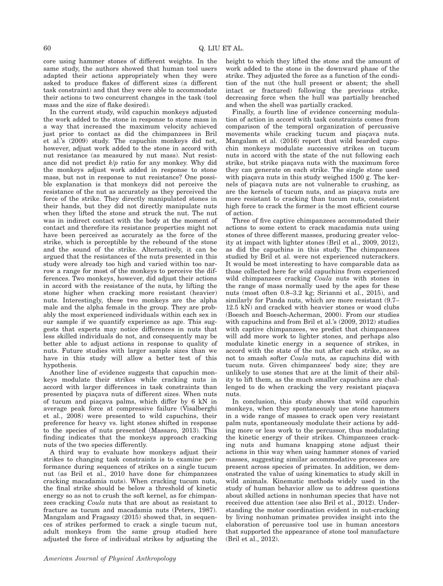core using hammer stones of different weights. In the same study, the authors showed that human tool users adapted their actions appropriately when they were asked to produce flakes of different sizes (a different task constraint) and that they were able to accommodate their actions to two concurrent changes in the task (tool mass and the size of flake desired).

In the current study, wild capuchin monkeys adjusted the work added to the stone in response to stone mass in a way that increased the maximum velocity achieved just prior to contact as did the chimpanzees in Bril et al.'s (2009) study. The capuchin monkeys did not, however, adjust work added to the stone in accord with nut resistance (as measured by nut mass). Nut resistance did not predict k/p ratio for any monkey. Why did the monkeys adjust work added in response to stone mass, but not in response to nut resistance? One possible explanation is that monkeys did not perceive the resistance of the nut as accurately as they perceived the force of the strike. They directly manipulated stones in their hands, but they did not directly manipulate nuts when they lifted the stone and struck the nut. The nut was in indirect contact with the body at the moment of contact and therefore its resistance properties might not have been perceived as accurately as the force of the strike, which is perceptible by the rebound of the stone and the sound of the strike. Alternatively, it can be argued that the resistances of the nuts presented in this study were already too high and varied within too narrow a range for most of the monkeys to perceive the differences. Two monkeys, however, did adjust their actions in accord with the resistance of the nuts, by lifting the stone higher when cracking more resistant (heavier) nuts. Interestingly, these two monkeys are the alpha male and the alpha female in the group. They are probably the most experienced individuals within each sex in our sample if we quantify experience as age. This suggests that experts may notice differences in nuts that less skilled individuals do not, and consequently may be better able to adjust actions in response to quality of nuts. Future studies with larger sample sizes than we have in this study will allow a better test of this hypothesis.

Another line of evidence suggests that capuchin monkeys modulate their strikes while cracking nuts in accord with larger differences in task constraints than presented by piacava nuts of different sizes. When nuts of tucum and piaçava palms, which differ by 6 kN in average peak force at compressive failure (Visalberghi et al., 2008) were presented to wild capuchins, their preference for heavy vs. light stones shifted in response to the species of nuts presented (Massaro, 2013). This finding indicates that the monkeys approach cracking nuts of the two species differently.

A third way to evaluate how monkeys adjust their strikes to changing task constraints is to examine performance during sequences of strikes on a single tucum nut (as Bril et al., 2010 have done for chimpanzees cracking macadamia nuts). When cracking tucum nuts, the final strike should be below a threshold of kinetic energy so as not to crush the soft kernel, as for chimpanzees cracking Coula nuts that are about as resistant to fracture as tucum and macadamia nuts (Peters, 1987). Mangalam and Fragaszy (2015) showed that, in sequences of strikes performed to crack a single tucum nut, adult monkeys from the same group studied here adjusted the force of individual strikes by adjusting the

height to which they lifted the stone and the amount of work added to the stone in the downward phase of the strike. They adjusted the force as a function of the condition of the nut (the hull present or absent; the shell intact or fractured) following the previous strike, decreasing force when the hull was partially breached and when the shell was partially cracked.

Finally, a fourth line of evidence concerning modulation of action in accord with task constraints comes from comparison of the temporal organization of percussive movements while cracking tucum and piaçava nuts. Mangalam et al. (2016) report that wild bearded capuchin monkeys modulate successive strikes on tucum nuts in accord with the state of the nut following each strike, but strike piaçava nuts with the maximum force they can generate on each strike. The single stone used with piaçava nuts in this study weighed 1500 g. The kernels of piacava nuts are not vulnerable to crushing, as are the kernels of tucum nuts, and as piaçava nuts are more resistant to cracking than tucum nuts, consistent high force to crack the former is the most efficient course of action.

Three of five captive chimpanzees accommodated their actions to some extent to crack macadamia nuts using stones of three different masses, producing greater velocity at impact with lighter stones (Bril et al., 2009, 2012), as did the capuchins in this study. The chimpanzees studied by Bril et al. were not experienced nutcrackers. It would be most interesting to have comparable data as those collected here for wild capuchins from experienced wild chimpanzees cracking Coula nuts with stones in the range of mass normally used by the apes for these nuts (most often 0.8–3.2 kg; Sirianni et al., 2015), and similarly for Panda nuts, which are more resistant (9.7– 12.5 kN) and cracked with heavier stones or wood clubs (Boesch and Boesch-Acherman, 2000). From our studies with capuchins and from Bril et al.'s (2009, 2012) studies with captive chimpanzees, we predict that chimpanzees will add more work to lighter stones, and perhaps also modulate kinetic energy in a sequence of strikes, in accord with the state of the nut after each strike, so as not to smash softer Coula nuts, as capuchins did with tucum nuts. Given chimpanzees' body size; they are unlikely to use stones that are at the limit of their ability to lift them, as the much smaller capuchins are challenged to do when cracking the very resistant piaçava nuts.

In conclusion, this study shows that wild capuchin monkeys, when they spontaneously use stone hammers in a wide range of masses to crack open very resistant palm nuts, spontaneously modulate their actions by adding more or less work to the percussor, thus modulating the kinetic energy of their strikes. Chimpanzees cracking nuts and humans knapping stone adjust their actions in this way when using hammer stones of varied masses, suggesting similar accommodative processes are present across species of primates. In addition, we demonstrated the value of using kinematics to study skill in wild animals. Kinematic methods widely used in the study of human behavior allow us to address questions about skilled actions in nonhuman species that have not received due attention (see also Bril et al., 2012). Understanding the motor coordination evident in nut-cracking by living nonhuman primates provides insight into the elaboration of percussive tool use in human ancestors that supported the appearance of stone tool manufacture (Bril et al., 2012).